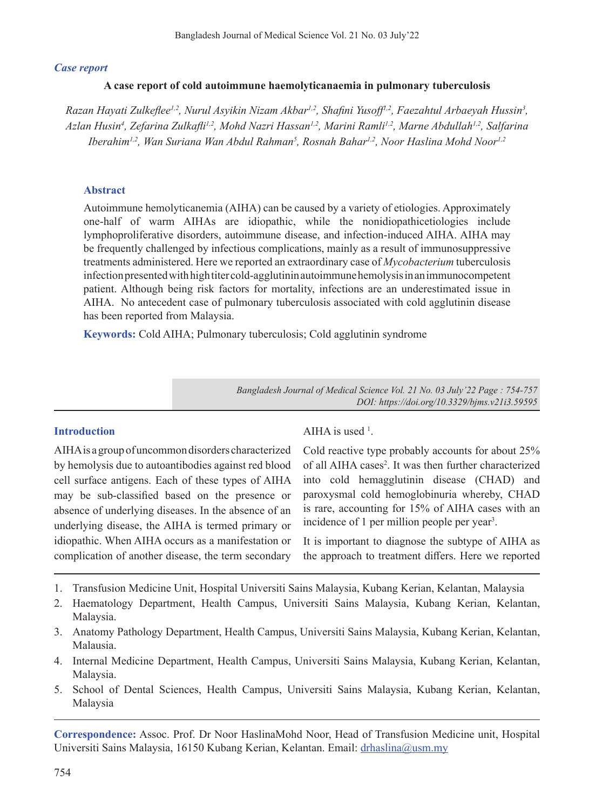## *Case report*

## **A case report of cold autoimmune haemolyticanaemia in pulmonary tuberculosis**

*Razan Hayati Zulkeflee1,2, Nurul Asyikin Nizam Akbar1,2, Shafini Yusoff1,2, Faezahtul Arbaeyah Hussin3 , Azlan Husin4 , Zefarina Zulkafli1,2, Mohd Nazri Hassan1,2, Marini Ramli1,2, Marne Abdullah1,2, Salfarina*  Iberahim<sup>1,2</sup>, Wan Suriana Wan Abdul Rahman<sup>5</sup>, Rosnah Bahar<sup>1,2</sup>, Noor Haslina Mohd Noor<sup>1,2</sup>

#### **Abstract**

Autoimmune hemolyticanemia (AIHA) can be caused by a variety of etiologies. Approximately one-half of warm AIHAs are idiopathic, while the nonidiopathicetiologies include lymphoproliferative disorders, autoimmune disease, and infection-induced AIHA. AIHA may be frequently challenged by infectious complications, mainly as a result of immunosuppressive treatments administered. Here we reported an extraordinary case of *Mycobacterium* tuberculosis infection presented with high titer cold-agglutinin autoimmune hemolysis in an immunocompetent patient. Although being risk factors for mortality, infections are an underestimated issue in AIHA. No antecedent case of pulmonary tuberculosis associated with cold agglutinin disease has been reported from Malaysia.

**Keywords:** Cold AIHA; Pulmonary tuberculosis; Cold agglutinin syndrome

*Bangladesh Journal of Medical Science Vol. 21 No. 03 July'22 Page : 754-757 DOI: https://doi.org/10.3329/bjms.v21i3.59595*

## **Introduction**

AIHAis agroupofuncommondisorders characterized by hemolysis due to autoantibodies against red blood cell surface antigens. Each of these types of AIHA may be sub-classified based on the presence or absence of underlying diseases. In the absence of an underlying disease, the AIHA is termed primary or idiopathic. When AIHA occurs as a manifestation or complication of another disease, the term secondary

AIHA is used  $<sup>1</sup>$ .</sup>

Cold reactive type probably accounts for about 25% of all AIHA cases<sup>2</sup>. It was then further characterized into cold hemagglutinin disease (CHAD) and paroxysmal cold hemoglobinuria whereby, CHAD is rare, accounting for 15% of AIHA cases with an incidence of 1 per million people per year<sup>3</sup>.

It is important to diagnose the subtype of AIHA as the approach to treatment differs. Here we reported

- 1. Transfusion Medicine Unit, Hospital Universiti Sains Malaysia, Kubang Kerian, Kelantan, Malaysia
- 2. Haematology Department, Health Campus, Universiti Sains Malaysia, Kubang Kerian, Kelantan, Malaysia.
- 3. Anatomy Pathology Department, Health Campus, Universiti Sains Malaysia, Kubang Kerian, Kelantan, Malausia.
- 4. Internal Medicine Department, Health Campus, Universiti Sains Malaysia, Kubang Kerian, Kelantan, Malaysia.
- 5. School of Dental Sciences, Health Campus, Universiti Sains Malaysia, Kubang Kerian, Kelantan, Malaysia

**Correspondence:** Assoc. Prof. Dr Noor HaslinaMohd Noor, Head of Transfusion Medicine unit, Hospital Universiti Sains Malaysia, 16150 Kubang Kerian, Kelantan. Email: drhaslina@usm.my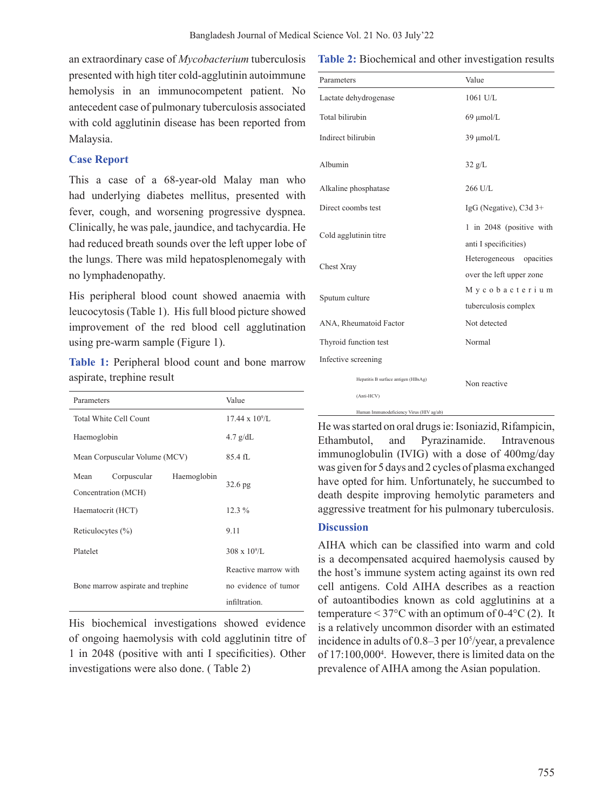an extraordinary case of *Mycobacterium* tuberculosis presented with high titer cold-agglutinin autoimmune hemolysis in an immunocompetent patient. No antecedent case of pulmonary tuberculosis associated with cold agglutinin disease has been reported from Malaysia.

#### **Case Report**

This a case of a 68-year-old Malay man who had underlying diabetes mellitus, presented with fever, cough, and worsening progressive dyspnea. Clinically, he was pale, jaundice, and tachycardia. He had reduced breath sounds over the left upper lobe of the lungs. There was mild hepatosplenomegaly with no lymphadenopathy.

His peripheral blood count showed anaemia with leucocytosis (Table 1). His full blood picture showed improvement of the red blood cell agglutination using pre-warm sample (Figure 1).

**Table 1:** Peripheral blood count and bone marrow aspirate, trephine result

| Parameters                                                | Value                    |
|-----------------------------------------------------------|--------------------------|
| Total White Cell Count                                    | $17.44 \times 10^{9}$ /L |
| Haemoglobin                                               | $4.7$ g/dL               |
| Mean Corpuscular Volume (MCV)                             | 85.4 fL                  |
| Haemoglobin<br>Mean<br>Corpuscular<br>Concentration (MCH) | $32.6$ pg                |
| Haematocrit (HCT)                                         | $12.3\%$                 |
| Reticulocytes $(\% )$                                     | 9.11                     |
| Platelet                                                  | $308 \times 10^{9}$ /L   |
| Bone marrow aspirate and trephine                         | Reactive marrow with     |
|                                                           | no evidence of tumor     |
|                                                           | infiltration.            |

His biochemical investigations showed evidence of ongoing haemolysis with cold agglutinin titre of 1 in 2048 (positive with anti I specificities). Other investigations were also done. ( Table 2)

#### **Table 2:** Biochemical and other investigation results

| Parameters                                        | Value                                                  |
|---------------------------------------------------|--------------------------------------------------------|
| Lactate dehydrogenase                             | $1061$ U/L                                             |
| Total bilirubin                                   | $69 \mu$ mol/L                                         |
| Indirect bilirubin                                | $39 \mu$ mol/L                                         |
| Albumin                                           | $32 \text{ g/L}$                                       |
| Alkaline phosphatase                              | 266 U/L                                                |
| Direct coombs test                                | IgG (Negative), $C3d$ 3+                               |
| Cold agglutinin titre                             | 1 in 2048 (positive with<br>anti I specificities)      |
| Chest Xray                                        | Heterogeneous<br>opacities<br>over the left upper zone |
| Sputum culture                                    | Mycobacterium<br>tuberculosis complex                  |
| ANA, Rheumatoid Factor                            | Not detected                                           |
| Thyroid function test                             | Normal                                                 |
| Infective screening                               |                                                        |
| Hepatitis B surface antigen (HBsAg)<br>(Anti-HCV) | Non reactive                                           |
| Human Immunodeficiency Virus (HIV ag/ab)          |                                                        |

He was started on oral drugs ie: Isoniazid, Rifampicin, Ethambutol, and Pyrazinamide. Intravenous immunoglobulin (IVIG) with a dose of 400mg/day was given for 5 days and 2 cycles of plasma exchanged have opted for him. Unfortunately, he succumbed to death despite improving hemolytic parameters and aggressive treatment for his pulmonary tuberculosis.

#### **Discussion**

AIHA which can be classified into warm and cold is a decompensated acquired haemolysis caused by the host's immune system acting against its own red cell antigens. Cold AIHA describes as a reaction of autoantibodies known as cold agglutinins at a temperature  $\leq$  37°C with an optimum of 0-4°C (2). It is a relatively uncommon disorder with an estimated incidence in adults of  $0.8-3$  per  $10<sup>5</sup>/year$ , a prevalence of 17:100,000<sup>4</sup>. However, there is limited data on the prevalence of AIHA among the Asian population.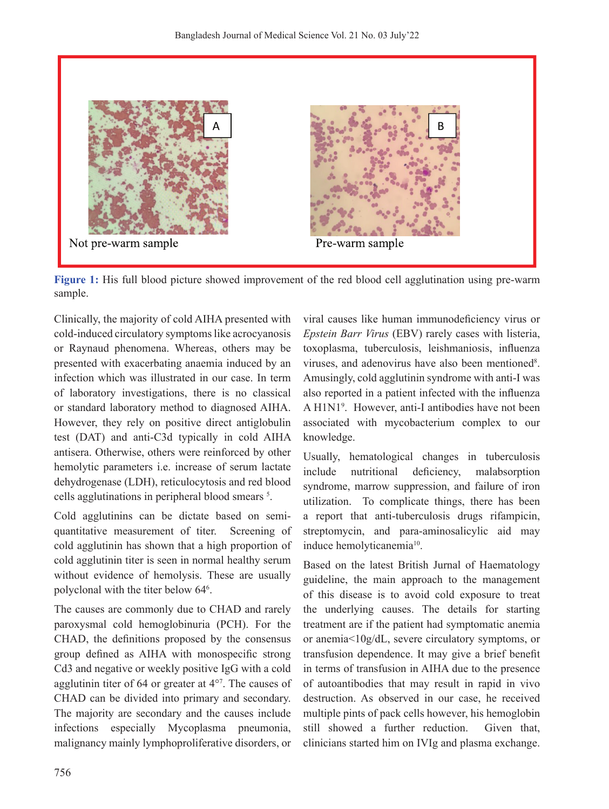

**Figure 1:** His full blood picture showed improvement of the red blood cell agglutination using pre-warm sample.

Clinically, the majority of cold AIHA presented with cold-induced circulatory symptoms like acrocyanosis or Raynaud phenomena. Whereas, others may be presented with exacerbating anaemia induced by an infection which was illustrated in our case. In term of laboratory investigations, there is no classical or standard laboratory method to diagnosed AIHA. However, they rely on positive direct antiglobulin test (DAT) and anti-C3d typically in cold AIHA antisera. Otherwise, others were reinforced by other hemolytic parameters i.e. increase of serum lactate dehydrogenase (LDH), reticulocytosis and red blood cells agglutinations in peripheral blood smears<sup>5</sup>.

Cold agglutinins can be dictate based on semiquantitative measurement of titer. Screening of cold agglutinin has shown that a high proportion of cold agglutinin titer is seen in normal healthy serum without evidence of hemolysis. These are usually polyclonal with the titer below 64<sup>6</sup>.

The causes are commonly due to CHAD and rarely paroxysmal cold hemoglobinuria (PCH). For the CHAD, the definitions proposed by the consensus group defined as AIHA with monospecific strong Cd3 and negative or weekly positive IgG with a cold agglutinin titer of 64 or greater at 4°7 . The causes of CHAD can be divided into primary and secondary. The majority are secondary and the causes include infections especially Mycoplasma pneumonia, malignancy mainly lymphoproliferative disorders, or

viral causes like human immunodeficiency virus or *Epstein Barr Virus* (EBV) rarely cases with listeria, toxoplasma, tuberculosis, leishmaniosis, influenza viruses, and adenovirus have also been mentioned<sup>8</sup>. Amusingly, cold agglutinin syndrome with anti-I was also reported in a patient infected with the influenza A H1N1<sup>9</sup> . However, anti-I antibodies have not been associated with mycobacterium complex to our knowledge.

Usually, hematological changes in tuberculosis include nutritional deficiency, malabsorption syndrome, marrow suppression, and failure of iron utilization. To complicate things, there has been a report that anti-tuberculosis drugs rifampicin, streptomycin, and para-aminosalicylic aid may induce hemolyticanemia<sup>10</sup>.

Based on the latest British Jurnal of Haematology guideline, the main approach to the management of this disease is to avoid cold exposure to treat the underlying causes. The details for starting treatment are if the patient had symptomatic anemia or anemia<10g/dL, severe circulatory symptoms, or transfusion dependence. It may give a brief benefit in terms of transfusion in AIHA due to the presence of autoantibodies that may result in rapid in vivo destruction. As observed in our case, he received multiple pints of pack cells however, his hemoglobin still showed a further reduction. Given that, clinicians started him on IVIg and plasma exchange.